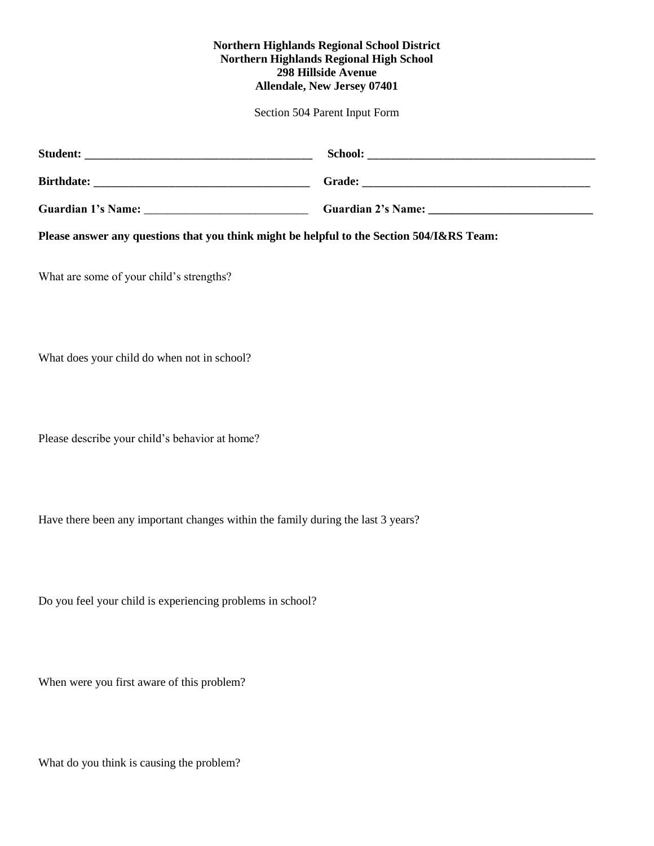## **Northern Highlands Regional School District Northern Highlands Regional High School 298 Hillside Avenue Allendale, New Jersey 07401**

Section 504 Parent Input Form

| <b>School:</b>            |
|---------------------------|
| Grade:                    |
| <b>Guardian 2's Name:</b> |
|                           |

**Please answer any questions that you think might be helpful to the Section 504/I&RS Team:**

What are some of your child's strengths?

What does your child do when not in school?

Please describe your child's behavior at home?

Have there been any important changes within the family during the last 3 years?

Do you feel your child is experiencing problems in school?

When were you first aware of this problem?

What do you think is causing the problem?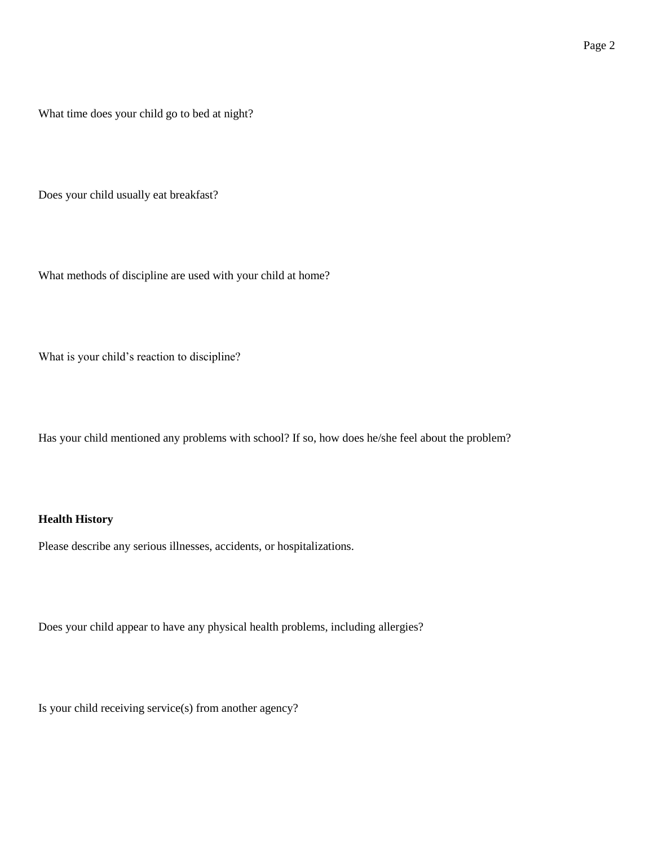What time does your child go to bed at night?

Does your child usually eat breakfast?

What methods of discipline are used with your child at home?

What is your child's reaction to discipline?

Has your child mentioned any problems with school? If so, how does he/she feel about the problem?

## **Health History**

Please describe any serious illnesses, accidents, or hospitalizations.

Does your child appear to have any physical health problems, including allergies?

Is your child receiving service(s) from another agency?